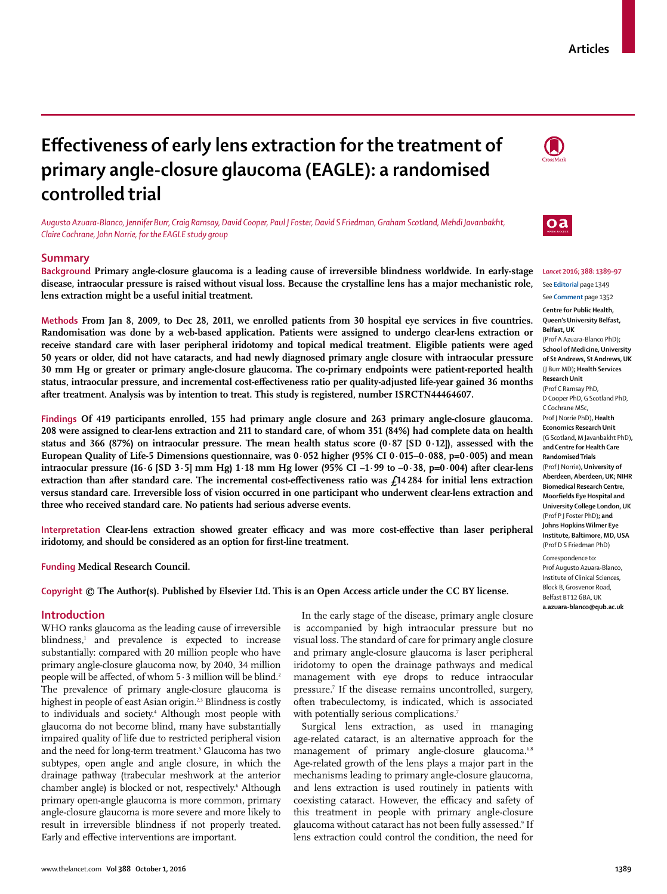# **Articles**

# Effectiveness of early lens extraction for the treatment of **primary angle-closure glaucoma (EAGLE): a randomised controlled trial**

*Augusto Azuara-Blanco, Jennifer Burr, Craig Ramsay, David Cooper, Paul J Foster, David S Friedman, Graham Scotland, Mehdi Javanbakht, Claire Cochrane, John Norrie, for the EAGLE study group*

## **Summary**

**Background Primary angle-closure glaucoma is a leading cause of irreversible blindness worldwide. In early-stage disease, intraocular pressure is raised without visual loss. Because the crystalline lens has a major mechanistic role, lens extraction might be a useful initial treatment.**

Methods From Jan 8, 2009, to Dec 28, 2011, we enrolled patients from 30 hospital eye services in five countries. **Randomisation was done by a web-based application. Patients were assigned to undergo clear-lens extraction or receive standard care with laser peripheral iridotomy and topical medical treatment. Eligible patients were aged 50 years or older, did not have cataracts, and had newly diagnosed primary angle closure with intraocular pressure 30 mm Hg or greater or primary angle-closure glaucoma. The co-primary endpoints were patient-reported health**  status, intraocular pressure, and incremental cost-effectiveness ratio per quality-adjusted life-year gained 36 months **after treatment. Analysis was by intention to treat. This study is registered, number ISRCTN44464607.**

**Findings Of 419 participants enrolled, 155 had primary angle closure and 263 primary angle-closure glaucoma. 208 were assigned to clear-lens extraction and 211 to standard care, of whom 351 (84%) had complete data on health status and 366 (87%) on intraocular pressure. The mean health status score (0·87 [SD 0·12]), assessed with the European Quality of Life-5 Dimensions questionnaire, was 0·052 higher (95% CI 0·015–0·088, p=0·005) and mean intraocular pressure (16·6 [SD 3·5] mm Hg) 1·18 mm Hg lower (95% CI –1·99 to –0·38, p=0⋅004) after clear-lens**  extraction than after standard care. The incremental cost-effectiveness ratio was  $f_1$ 14 284 for initial lens extraction **versus standard care. Irreversible loss of vision occurred in one participant who underwent clear-lens extraction and three who received standard care. No patients had serious adverse events.**

Interpretation Clear-lens extraction showed greater efficacy and was more cost-effective than laser peripheral iridotomy, and should be considered as an option for first-line treatment.

**Funding Medical Research Council.**

**Copyright © The Author(s). Published by Elsevier Ltd. This is an Open Access article under the CC BY license.**

# **Introduction**

WHO ranks glaucoma as the leading cause of irreversible blindness,<sup>1</sup> and prevalence is expected to increase substantially: compared with 20 million people who have primary angle-closure glaucoma now, by 2040, 34 million people will be affected, of whom 5⋅3 million will be blind.<sup>2</sup> The prevalence of primary angle-closure glaucoma is highest in people of east Asian origin.<sup>2,3</sup> Blindness is costly to individuals and society.4 Although most people with glaucoma do not become blind, many have substantially impaired quality of life due to restricted peripheral vision and the need for long-term treatment.5 Glaucoma has two subtypes, open angle and angle closure, in which the drainage pathway (trabecular meshwork at the anterior chamber angle) is blocked or not, respectively.6 Although primary open-angle glaucoma is more common, primary angle-closure glaucoma is more severe and more likely to result in irreversible blindness if not properly treated. Early and effective interventions are important.

In the early stage of the disease, primary angle closure is accompanied by high intraocular pressure but no visual loss. The standard of care for primary angle closure and primary angle-closure glaucoma is laser peripheral iridotomy to open the drainage pathways and medical management with eye drops to reduce intraocular pressure.7 If the disease remains uncontrolled, surgery, often trabeculectomy, is indicated, which is associated with potentially serious complications.<sup>7</sup>

Surgical lens extraction, as used in managing age-related cataract, is an alternative approach for the management of primary angle-closure glaucoma.<sup>6,8</sup> Age-related growth of the lens plays a major part in the mechanisms leading to primary angle-closure glaucoma, and lens extraction is used routinely in patients with coexisting cataract. However, the efficacy and safety of this treatment in people with primary angle-closure glaucoma without cataract has not been fully assessed.<sup>9</sup> If lens extraction could control the condition, the need for





*Lancet* **2016; 388: 1389–97** See **Editorial** page 1349 See **Comment** page 1352

**Centre for Public Health, Queen's University Belfast, Belfast, UK** (Prof A Azuara-Blanco PhD)**; School of Medicine, University of St Andrews, St Andrews, UK** (J Burr MD)**; Health Services Research Unit**

(Prof C Ramsay PhD, D Cooper PhD, G Scotland PhD, C Cochrane MSc, Prof J Norrie PhD)**, Health Economics Research Unit** (G Scotland, M Javanbakht PhD)**, and Centre for Health Care Randomised Trials** (Prof J Norrie)**, University of Aberdeen, Aberdeen, UK; NIHR Biomedical Research Centre, Moorfields Eye Hospital and University College London, UK** (Prof P J Foster PhD)**; and** 

**Johns Hopkins Wilmer Eye Institute, Baltimore, MD, USA** (Prof D S Friedman PhD)

Correspondence to: Prof Augusto Azuara-Blanco, Institute of Clinical Sciences, Block B, Grosvenor Road, Belfast BT12 6BA, UK **a.azuara-blanco@qub.ac.uk**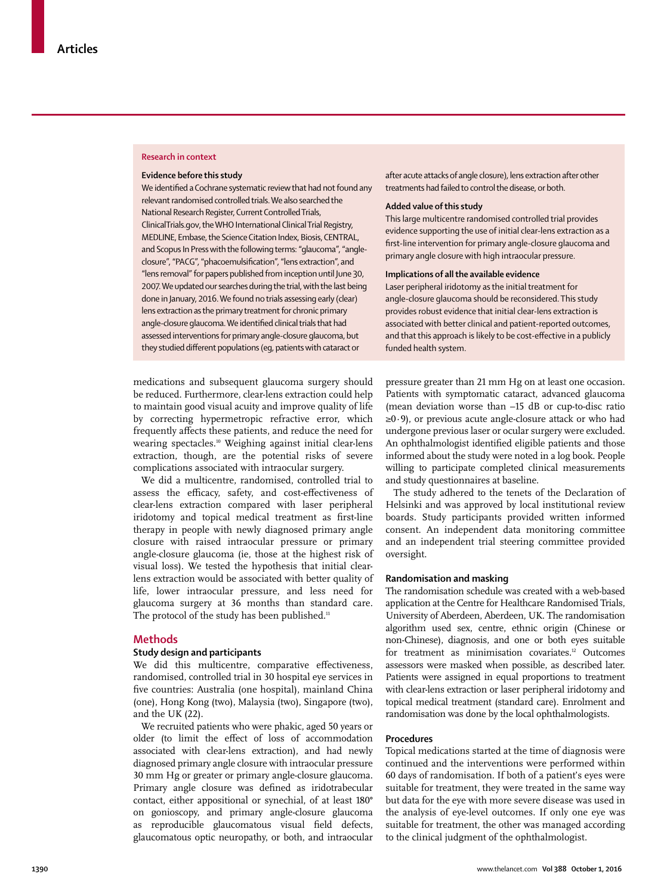#### **Research in context**

#### **Evidence before this study**

We identified a Cochrane systematic review that had not found any relevant randomised controlled trials. We also searched the National Research Register, Current Controlled Trials, ClinicalTrials.gov, the WHO International Clinical Trial Registry, MEDLINE, Embase, the Science Citation Index, Biosis, CENTRAL, and Scopus In Press with the following terms: "glaucoma", "angleclosure", "PACG", "phacoemulsification", "lens extraction", and "lens removal" for papers published from inception until June 30, 2007. We updated our searches during the trial, with the last being done in January, 2016. We found no trials assessing early (clear) lens extraction as the primary treatment for chronic primary angle-closure glaucoma. We identified clinical trials that had assessed interventions for primary angle-closure glaucoma, but they studied different populations (eg, patients with cataract or

medications and subsequent glaucoma surgery should be reduced. Furthermore, clear-lens extraction could help to maintain good visual acuity and improve quality of life by correcting hypermetropic refractive error, which frequently affects these patients, and reduce the need for wearing spectacles.10 Weighing against initial clear-lens extraction, though, are the potential risks of severe complications associated with intraocular surgery.

We did a multicentre, randomised, controlled trial to assess the efficacy, safety, and cost-effectiveness of clear-lens extraction compared with laser peripheral iridotomy and topical medical treatment as first-line therapy in people with newly diagnosed primary angle closure with raised intraocular pressure or primary angle-closure glaucoma (ie, those at the highest risk of visual loss). We tested the hypothesis that initial clearlens extraction would be associated with better quality of life, lower intraocular pressure, and less need for glaucoma surgery at 36 months than standard care. The protocol of the study has been published.<sup>11</sup>

#### **Methods**

## **Study design and participants**

We did this multicentre, comparative effectiveness, randomised, controlled trial in 30 hospital eye services in five countries: Australia (one hospital), mainland China (one), Hong Kong (two), Malaysia (two), Singapore (two), and the UK (22).

We recruited patients who were phakic, aged 50 years or older (to limit the effect of loss of accommodation associated with clear-lens extraction), and had newly diagnosed primary angle closure with intraocular pressure 30 mm Hg or greater or primary angle-closure glaucoma. Primary angle closure was defined as iridotrabecular contact, either appositional or synechial, of at least 180**°** on gonioscopy, and primary angle-closure glaucoma as reproducible glaucomatous visual field defects, glaucomatous optic neuropathy, or both, and intraocular after acute attacks of angle closure), lens extraction after other treatments had failed to control the disease, or both.

## **Added value of this study**

This large multicentre randomised controlled trial provides evidence supporting the use of initial clear-lens extraction as a first-line intervention for primary angle-closure glaucoma and primary angle closure with high intraocular pressure.

#### **Implications of all the available evidence**

Laser peripheral iridotomy as the initial treatment for angle-closure glaucoma should be reconsidered. This study provides robust evidence that initial clear-lens extraction is associated with better clinical and patient-reported outcomes, and that this approach is likely to be cost-effective in a publicly funded health system.

pressure greater than 21 mm Hg on at least one occasion. Patients with symptomatic cataract, advanced glaucoma (mean deviation worse than –15 dB or cup-to-disc ratio ≥0·9), or previous acute angle-closure attack or who had undergone previous laser or ocular surgery were excluded. An ophthalmologist identified eligible patients and those informed about the study were noted in a log book. People willing to participate completed clinical measurements and study questionnaires at baseline.

The study adhered to the tenets of the Declaration of Helsinki and was approved by local institutional review boards. Study participants provided written informed consent. An independent data monitoring committee and an independent trial steering committee provided oversight.

# **Randomisation and masking**

The randomisation schedule was created with a web-based application at the Centre for Healthcare Randomised Trials, University of Aberdeen, Aberdeen, UK. The randomisation algorithm used sex, centre, ethnic origin (Chinese or non-Chinese), diagnosis, and one or both eyes suitable for treatment as minimisation covariates.<sup>12</sup> Outcomes assessors were masked when possible, as described later. Patients were assigned in equal proportions to treatment with clear-lens extraction or laser peripheral iridotomy and topical medical treatment (standard care). Enrolment and randomisation was done by the local ophthalmologists.

### **Procedures**

Topical medications started at the time of diagnosis were continued and the interventions were performed within 60 days of randomisation. If both of a patient's eyes were suitable for treatment, they were treated in the same way but data for the eye with more severe disease was used in the analysis of eye-level outcomes. If only one eye was suitable for treatment, the other was managed according to the clinical judgment of the ophthalmologist.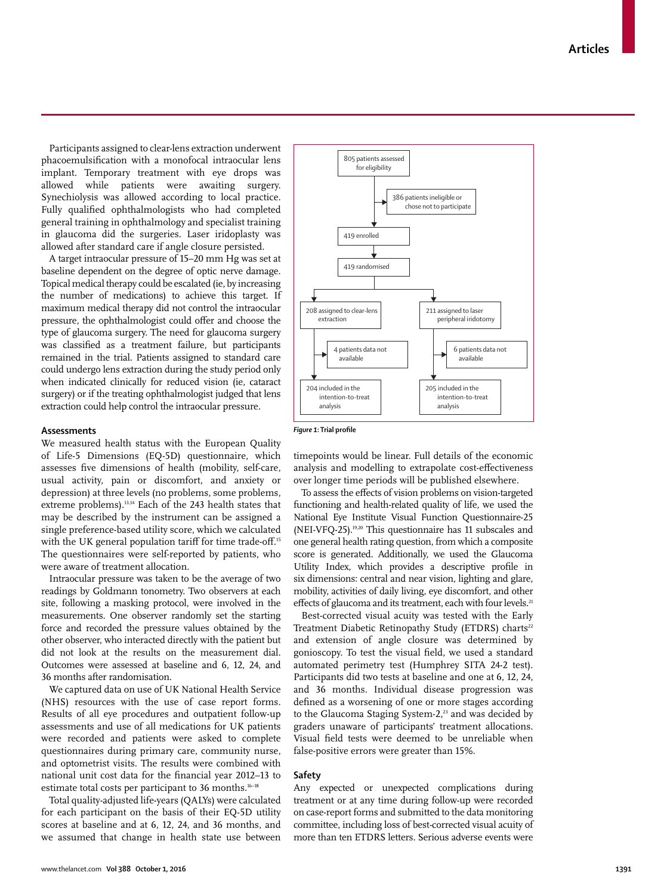Participants assigned to clear-lens extraction underwent phacoemulsification with a monofocal intraocular lens implant. Temporary treatment with eye drops was allowed while patients were awaiting surgery. Synechiolysis was allowed according to local practice. Fully qualified ophthalmologists who had completed general training in ophthalmology and specialist training in glaucoma did the surgeries. Laser iridoplasty was allowed after standard care if angle closure persisted.

A target intraocular pressure of 15–20 mm Hg was set at baseline dependent on the degree of optic nerve damage. Topical medical therapy could be escalated (ie, by increasing the number of medications) to achieve this target. If maximum medical therapy did not control the intraocular pressure, the ophthalmologist could offer and choose the type of glaucoma surgery. The need for glaucoma surgery was classified as a treatment failure, but participants remained in the trial. Patients assigned to standard care could undergo lens extraction during the study period only when indicated clinically for reduced vision (ie, cataract surgery) or if the treating ophthalmologist judged that lens extraction could help control the intraocular pressure.

### **Assessments**

We measured health status with the European Quality of Life-5 Dimensions (EQ-5D) questionnaire, which assesses five dimensions of health (mobility, self-care, usual activity, pain or discomfort, and anxiety or depression) at three levels (no problems, some problems, extreme problems).<sup>13,14</sup> Each of the 243 health states that may be described by the instrument can be assigned a single preference-based utility score, which we calculated with the UK general population tariff for time trade-off.<sup>15</sup> The questionnaires were self-reported by patients, who were aware of treatment allocation.

Intraocular pressure was taken to be the average of two readings by Goldmann tonometry. Two observers at each site, following a masking protocol, were involved in the measurements. One observer randomly set the starting force and recorded the pressure values obtained by the other observer, who interacted directly with the patient but did not look at the results on the measurement dial. Outcomes were assessed at baseline and 6, 12, 24, and 36 months after randomisation.

We captured data on use of UK National Health Service (NHS) resources with the use of case report forms. Results of all eye procedures and outpatient follow-up assessments and use of all medications for UK patients were recorded and patients were asked to complete questionnaires during primary care, community nurse, and optometrist visits. The results were combined with national unit cost data for the financial year 2012-13 to estimate total costs per participant to 36 months.<sup>16-18</sup>

Total quality-adjusted life-years (QALYs) were calculated for each participant on the basis of their EQ-5D utility scores at baseline and at 6, 12, 24, and 36 months, and we assumed that change in health state use between



**Figure 1: Trial profile** 

time points would be linear. Full details of the economic analysis and modelling to extrapolate cost-effectiveness over longer time periods will be published elsewhere.

To assess the effects of vision problems on vision-targeted functioning and health-related quality of life, we used the National Eye Institute Visual Function Questionnaire-25 (NEI-VFQ-25).19,20 This questionnaire has 11 subscales and one general health rating question, from which a composite score is generated. Additionally, we used the Glaucoma Utility Index, which provides a descriptive profile in six dimensions: central and near vision, lighting and glare, mobility, activities of daily living, eye discomfort, and other effects of glaucoma and its treatment, each with four levels.<sup>21</sup>

Best-corrected visual acuity was tested with the Early Treatment Diabetic Retinopathy Study (ETDRS) charts<sup>22</sup> and extension of angle closure was determined by gonioscopy. To test the visual field, we used a standard automated perimetry test (Humphrey SITA 24-2 test). Participants did two tests at baseline and one at 6, 12, 24, and 36 months. Individual disease progression was defined as a worsening of one or more stages according to the Glaucoma Staging System-2,<sup>23</sup> and was decided by graders unaware of participants' treatment allocations. Visual field tests were deemed to be unreliable when false-positive errors were greater than 15%.

#### **Safety**

Any expected or unexpected complications during treatment or at any time during follow-up were recorded on case-report forms and submitted to the data monitoring committee, including loss of best-corrected visual acuity of more than ten ETDRS letters. Serious adverse events were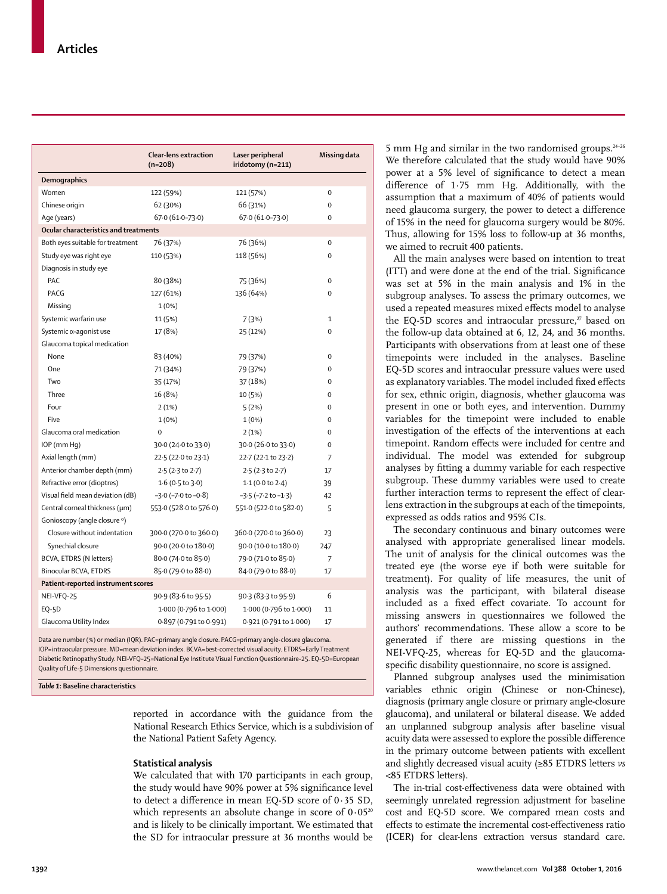|                                       | <b>Clear-lens extraction</b><br>$(n=208)$ | Laser peripheral<br>iridotomy (n=211) | Missing data   |
|---------------------------------------|-------------------------------------------|---------------------------------------|----------------|
| Demographics                          |                                           |                                       |                |
| Women                                 | 122 (59%)                                 | 121 (57%)                             | $\overline{0}$ |
| Chinese origin                        | 62 (30%)                                  | 66 (31%)                              | $\Omega$       |
| Age (years)                           | $67.0(61.0 - 73.0)$                       | $67.0(61.0 - 73.0)$                   | $\Omega$       |
| Ocular characteristics and treatments |                                           |                                       |                |
| Both eyes suitable for treatment      | 76 (37%)                                  | 76 (36%)                              | 0              |
| Study eye was right eye               | 110 (53%)                                 | 118 (56%)                             | $\mathbf 0$    |
| Diagnosis in study eye                |                                           |                                       |                |
| PAC                                   | 80 (38%)                                  | 75 (36%)                              | 0              |
| PACG                                  | 127 (61%)                                 | 136 (64%)                             | 0              |
| Missing                               | 1(0%)                                     |                                       |                |
| Systemic warfarin use                 | 11 (5%)                                   | 7 (3%)                                | $\mathbf{1}$   |
| Systemic $\alpha$ -agonist use        | 17 (8%)                                   | 25 (12%)                              | 0              |
| Glaucoma topical medication           |                                           |                                       |                |
| None                                  | 83 (40%)                                  | 79 (37%)                              | $\mathbf 0$    |
| One                                   | 71 (34%)                                  | 79 (37%)                              | $\mathbf 0$    |
| Two                                   | 35 (17%)                                  | 37 (18%)                              | $\Omega$       |
| Three                                 | 16 (8%)                                   | 10 (5%)                               | 0              |
| Four                                  | 2(1%)                                     | 5(2%)                                 | $\mathbf 0$    |
| Five                                  | 1(0%)                                     | 1(0%)                                 | $\mathbf 0$    |
| Glaucoma oral medication              | $\Omega$                                  | 2(1%)                                 | $\Omega$       |
| IOP (mm Hg)                           | 30.0 (24.0 to 33.0)                       | 30.0 (26.0 to 33.0)                   | $\mathbf 0$    |
| Axial length (mm)                     | 22.5 (22.0 to 23.1)                       | 22.7 (22.1 to 23.2)                   | 7              |
| Anterior chamber depth (mm)           | $2.5(2.3 \text{ to } 2.7)$                | $2.5(2.3 \text{ to } 2.7)$            | 17             |
| Refractive error (dioptres)           | $1.6$ (0.5 to 3.0)                        | 1.1(0.0 to 2.4)                       | 39             |
| Visual field mean deviation (dB)      | $-3.0$ ( $-7.0$ to $-0.8$ )               | $-3.5$ ( $-7.2$ to $-1.3$ )           | 42             |
| Central corneal thickness (µm)        | 553.0 (528.0 to 576.0)                    | 551.0 (522.0 to 582.0)                | 5              |
| Gonioscopy (angle closure °)          |                                           |                                       |                |
| Closure without indentation           | 300.0 (270.0 to 360.0)                    | 360.0 (270.0 to 360.0)                | 23             |
| Synechial closure                     | 90.0 (20.0 to 180.0)                      | 90.0 (10.0 to 180.0)                  | 247            |
| BCVA, ETDRS (N letters)               | 80.0 (74.0 to 85.0)                       | 79.0 (71.0 to 85.0)                   | 7              |
| Binocular BCVA, ETDRS                 | 85.0 (79.0 to 88.0)                       | 84.0 (79.0 to 88.0)                   | 17             |
| Patient-reported instrument scores    |                                           |                                       |                |
| NEI-VFQ-25                            | 90.9 (83.6 to 95.5)                       | 90.3 (83.3 to 95.9)                   | 6              |
| <b>EQ-5D</b>                          | 1.000 (0.796 to 1.000)                    | 1.000 (0.796 to 1.000)                | 11             |
| Glaucoma Utility Index                | 0.897 (0.791 to 0.991)                    | 0.921 (0.791 to 1.000)                | 17             |

Data are number (%) or median (IQR). PAC=primary angle closure. PACG=primary angle-closure glaucoma. IOP=intraocular pressure. MD=mean deviation index. BCVA=best-corrected visual acuity. ETDRS=Early Treatment Diabetic Retinopathy Study. NEI-VFQ–25=National Eye Institute Visual Function Questionnaire-25. EQ-5D=European Quality of Life-5 Dimensions questionnaire.

*Table 1***: Baseline characteristics** 

reported in accordance with the guidance from the National Research Ethics Service, which is a subdivision of the National Patient Safety Agency.

#### **Statistical analysis**

We calculated that with 170 participants in each group, the study would have 90% power at 5% significance level to detect a difference in mean EQ-5D score of  $0.35$  SD, which represents an absolute change in score of  $0.05^{20}$ and is likely to be clinically important. We estimated that the SD for intraocular pressure at 36 months would be

5 mm Hg and similar in the two randomised groups.<sup>24-26</sup> We therefore calculated that the study would have 90% power at a 5% level of significance to detect a mean difference of 1.75 mm Hg. Additionally, with the assumption that a maximum of 40% of patients would need glaucoma surgery, the power to detect a difference of 15% in the need for glaucoma surgery would be 80%. Thus, allowing for 15% loss to follow-up at 36 months, we aimed to recruit 400 patients.

All the main analyses were based on intention to treat (ITT) and were done at the end of the trial. Significance was set at 5% in the main analysis and 1% in the subgroup analyses. To assess the primary outcomes, we used a repeated measures mixed effects model to analyse the EQ-5D scores and intraocular pressure, $z^r$  based on the follow-up data obtained at 6, 12, 24, and 36 months. Participants with observations from at least one of these timepoints were included in the analyses. Baseline EQ-5D scores and intraocular pressure values were used as explanatory variables. The model included fixed effects for sex, ethnic origin, diagnosis, whether glaucoma was present in one or both eyes, and intervention. Dummy variables for the timepoint were included to enable investigation of the effects of the interventions at each timepoint. Random effects were included for centre and individual. The model was extended for subgroup analyses by fitting a dummy variable for each respective subgroup. These dummy variables were used to create further interaction terms to represent the effect of clearlens extraction in the subgroups at each of the timepoints, expressed as odds ratios and 95% CIs.

The secondary continuous and binary outcomes were analysed with appropriate generalised linear models. The unit of analysis for the clinical outcomes was the treated eye (the worse eye if both were suitable for treatment). For quality of life measures, the unit of analysis was the participant, with bilateral disease included as a fixed effect covariate. To account for missing answers in questionnaires we followed the authors' recommendations. These allow a score to be generated if there are missing questions in the NEI-VFQ-25, whereas for EQ-5D and the glaucomaspecific disability questionnaire, no score is assigned.

Planned subgroup analyses used the minimisation variables ethnic origin (Chinese or non-Chinese), diagnosis (primary angle closure or primary angle-closure glaucoma), and unilateral or bilateral disease. We added an unplanned subgroup analysis after baseline visual acuity data were assessed to explore the possible difference in the primary outcome between patients with excellent and slightly decreased visual acuity (≥85 ETDRS letters *vs* <85 ETDRS letters).

The in-trial cost-effectiveness data were obtained with seemingly unrelated regression adjustment for baseline cost and EQ-5D score. We compared mean costs and effects to estimate the incremental cost-effectiveness ratio (ICER) for clear-lens extraction versus standard care.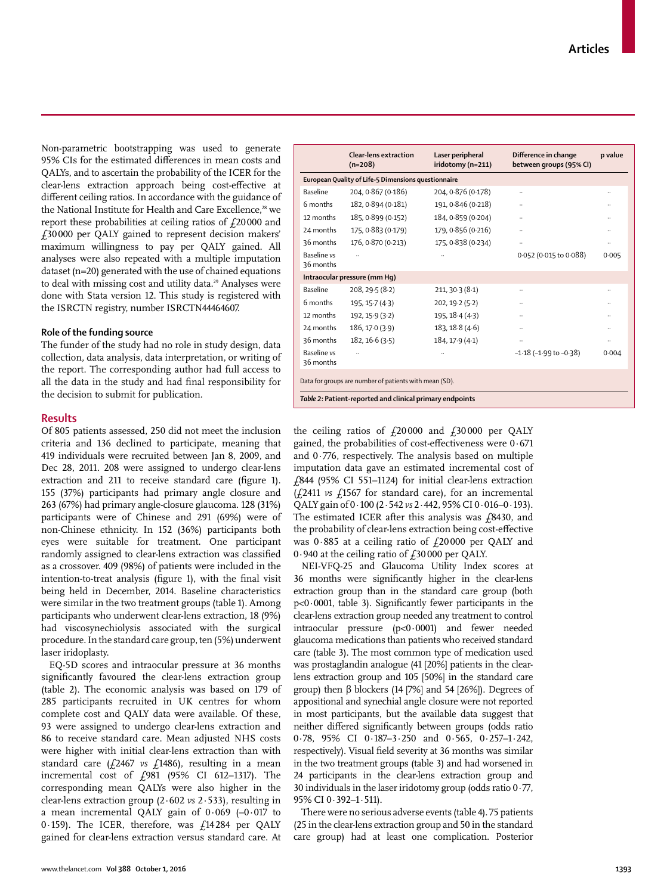Non-parametric bootstrapping was used to generate 95% CIs for the estimated differences in mean costs and QALYs, and to ascertain the probability of the ICER for the clear-lens extraction approach being cost-effective at different ceiling ratios. In accordance with the guidance of the National Institute for Health and Care Excellence,<sup>28</sup> we report these probabilities at ceiling ratios of  $f$ 20000 and £30 000 per QALY gained to represent decision makers' maximum willingness to pay per QALY gained. All analyses were also repeated with a multiple imputation dataset (n=20) generated with the use of chained equations to deal with missing cost and utility data.<sup>29</sup> Analyses were done with Stata version 12. This study is registered with the ISRCTN registry, number ISRCTN44464607.

# **Role of the funding source**

The funder of the study had no role in study design, data collection, data analysis, data interpretation, or writing of the report. The corresponding author had full access to all the data in the study and had final responsibility for the decision to submit for publication.

## **Results**

Of 805 patients assessed, 250 did not meet the inclusion criteria and 136 declined to participate, meaning that 419 individuals were recruited between Jan 8, 2009, and Dec 28, 2011. 208 were assigned to undergo clear-lens extraction and 211 to receive standard care (figure 1). 155 (37%) participants had primary angle closure and 263 (67%) had primary angle-closure glaucoma. 128 (31%) participants were of Chinese and 291 (69%) were of non-Chinese ethnicity. In 152 (36%) participants both eyes were suitable for treatment. One participant randomly assigned to clear-lens extraction was classified as a crossover. 409 (98%) of patients were included in the intention-to-treat analysis (figure 1), with the final visit being held in December, 2014. Baseline characteristics were similar in the two treatment groups (table 1). Among participants who underwent clear-lens extraction, 18 (9%) had viscosynechiolysis associated with the surgical procedure. In the standard care group, ten (5%) underwent laser iridoplasty.

EQ-5D scores and intraocular pressure at 36 months significantly favoured the clear-lens extraction group (table 2). The economic analysis was based on 179 of 285 participants recruited in UK centres for whom complete cost and QALY data were available. Of these, 93 were assigned to undergo clear-lens extraction and 86 to receive standard care. Mean adjusted NHS costs were higher with initial clear-lens extraction than with standard care  $(f2467 \text{ vs } f1486)$ , resulting in a mean incremental cost of £981 (95% CI 612–1317). The corresponding mean QALYs were also higher in the clear-lens extraction group (2⋅602 *vs* 2⋅533), resulting in a mean incremental QALY gain of 0⋅069 (–0⋅017 to 0⋅159). The ICER, therefore, was £14 284 per QALY gained for clear-lens extraction versus standard care. At

|                                                          | Clear-lens extraction<br>$(n=208)$                  | Laser peripheral<br>iridotomy (n=211) | Difference in change<br>between groups (95% CI) | p value  |
|----------------------------------------------------------|-----------------------------------------------------|---------------------------------------|-------------------------------------------------|----------|
|                                                          | European Quality of Life-5 Dimensions questionnaire |                                       |                                                 |          |
| Baseline                                                 | 204, 0.867 (0.186)                                  | 204, 0.876 (0.178)                    |                                                 |          |
| 6 months                                                 | 182, 0.894 (0.181)                                  | 191, 0.846 (0.218)                    |                                                 |          |
| 12 months                                                | 185, 0.899 (0.152)                                  | 184, 0.859 (0.204)                    |                                                 |          |
| 24 months                                                | 175, 0.883 (0.179)                                  | 179, 0.856 (0.216)                    |                                                 |          |
| 36 months                                                | 176, 0.870 (0.213)                                  | 175, 0.838 (0.234)                    |                                                 |          |
| <b>Baseline</b> vs<br>36 months                          |                                                     |                                       | 0.052 (0.015 to 0.088)                          | 0.005    |
|                                                          | Intraocular pressure (mm Hg)                        |                                       |                                                 |          |
| <b>Baseline</b>                                          | 208, 29.5 (8.2)                                     | 211, 30.3 (8.1)                       |                                                 |          |
| 6 months                                                 | 195, 15.7 (4.3)                                     | 202, 19.2(5.2)                        |                                                 |          |
| 12 months                                                | 192, 15.9 (3.2)                                     | 195, 18.4 (4.3)                       |                                                 |          |
| 24 months                                                | 186, 170(3.9)                                       | 183, 18.8(4.6)                        |                                                 |          |
| 36 months                                                | 182, 16.6(3.5)                                      | 184, 17.9 (4.1)                       | $\ldots$                                        | $\cdots$ |
| <b>Baseline</b> vs<br>36 months                          |                                                     |                                       | $-1.18$ ( $-1.99$ to $-0.38$ )                  | 0.004    |
| Data for groups are number of patients with mean (SD).   |                                                     |                                       |                                                 |          |
| Table 2: Patient-reported and clinical primary endpoints |                                                     |                                       |                                                 |          |

the ceiling ratios of  $f_2$ 20000 and  $f_3$ 30000 per QALY gained, the probabilities of cost-effectiveness were  $0.671$ and 0⋅776, respectively. The analysis based on multiple imputation data gave an estimated incremental cost of £844 (95% CI 551–1124) for initial clear-lens extraction (£2411 *vs* £1567 for standard care), for an incremental QALY gain of 0⋅100 (2⋅542 *vs* 2⋅442, 95% CI 0⋅016–0⋅193). The estimated ICER after this analysis was  $f$ 8430, and the probability of clear-lens extraction being cost-effective was 0⋅885 at a ceiling ratio of £20 000 per QALY and 0⋅940 at the ceiling ratio of  $f$ 30000 per QALY.

NEI-VFQ-25 and Glaucoma Utility Index scores at 36 months were significantly higher in the clear-lens extraction group than in the standard care group (both  $p<0.0001$ , table 3). Significantly fewer participants in the clear-lens extraction group needed any treatment to control intraocular pressure (p<0·0001) and fewer needed glaucoma medications than patients who received standard care (table 3). The most common type of medication used was prostaglandin analogue (41 [20%] patients in the clearlens extraction group and 105 [50%] in the standard care group) then β blockers (14 [7%] and 54 [26%]). Degrees of appositional and synechial angle closure were not reported in most participants, but the available data suggest that neither differed significantly between groups (odds ratio 0·78, 95% CI 0·187–3·250 and 0·565, 0·257–1·242, respectively). Visual field severity at 36 months was similar in the two treatment groups (table 3) and had worsened in 24 participants in the clear-lens extraction group and 30 individuals in the laser iridotomy group (odds ratio 0·77, 95% CI 0·392–1·511).

There were no serious adverse events (table 4). 75 patients (25 in the clear-lens extraction group and 50 in the standard care group) had at least one complication. Posterior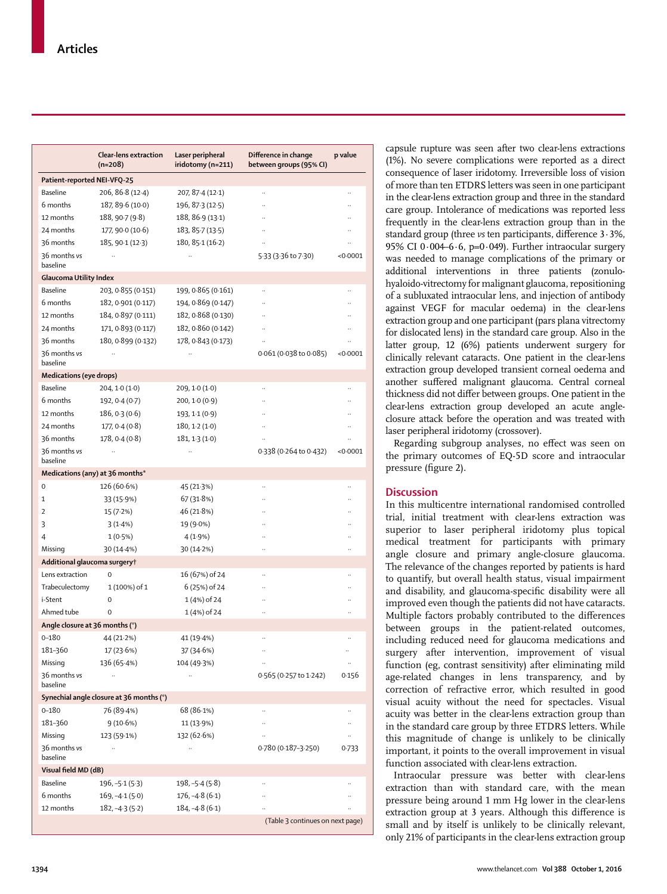|                                | Clear-lens extraction<br>$(n=208)$       | Laser peripheral<br>iridotomy (n=211) | Difference in change<br>between groups (95% CI) | p value              |
|--------------------------------|------------------------------------------|---------------------------------------|-------------------------------------------------|----------------------|
| Patient-reported NEI-VFQ-25    |                                          |                                       |                                                 |                      |
| <b>Baseline</b>                | 206, 86 8 (12 4)                         | 207, 87.4 (12.1)                      |                                                 |                      |
| 6 months                       | 187, 89.6 (10.0)                         | 196, 87.3 (12.5)                      |                                                 |                      |
| 12 months                      | 188, 90 7 (9 8)                          | 188, 86 9 (13 1)                      |                                                 |                      |
| 24 months                      | 177, 90.0 (10.6)                         | 183, 85.7 (13.5)                      |                                                 |                      |
| 36 months                      | 185, 90-1 (12-3)                         | 180, 85.1(16.2)                       |                                                 |                      |
| 36 months vs<br>baseline       | $\ddotsc$                                |                                       | 5.33 (3.36 to 7.30)                             | < 0.0001             |
| Glaucoma Utility Index         |                                          |                                       |                                                 |                      |
| Baseline                       | 203, 0.855 (0.151)                       | 199, 0.865 (0.161)                    |                                                 |                      |
| 6 months                       | 182, 0.901 (0.117)                       | 194, 0.869 (0.147)                    |                                                 |                      |
| 12 months                      | 184, 0.897 (0.111)                       | 182, 0.868 (0.130)                    |                                                 | $\ddot{\phantom{a}}$ |
| 24 months                      | 171, 0.893 (0.117)                       | 182, 0.860 (0.142)                    | $\ddotsc$                                       |                      |
| 36 months                      | 180, 0.899 (0.132)                       | 178, 0.843 (0.173)                    |                                                 |                      |
| 36 months vs<br>baseline       |                                          |                                       | 0.061(0.038 to 0.085)                           | < 0.0001             |
| <b>Medications (eye drops)</b> |                                          |                                       |                                                 |                      |
| Baseline                       | 204, 1.0(1.0)                            | 209, 10(10)                           |                                                 |                      |
| 6 months                       | 192, 0.4 (0.7)                           | 200, 10(0.9)                          |                                                 |                      |
| 12 months                      | 186, 0.3(0.6)                            | 193, 1.1 (0.9)                        |                                                 |                      |
| 24 months                      | 177, 0.4(0.8)                            | 180, 1·2 (1·0)                        |                                                 |                      |
| 36 months                      | 178, 0.4(0.8)                            | 181, 13(10)                           | $\ddotsc$                                       |                      |
| 36 months vs<br>baseline       | .,                                       | Ω.                                    | 0.338 (0.264 to 0.432)                          | < 0.0001             |
|                                | Medications (any) at 36 months*          |                                       |                                                 |                      |
| 0                              | 126 (60.6%)                              | 45 (21.3%)                            |                                                 |                      |
| 1                              | 33 (15.9%)                               | 67 (31.8%)                            |                                                 |                      |
| $\overline{2}$                 | 15 (7.2%)                                | 46 (21.8%)                            |                                                 |                      |
| 3                              | 3(1.4%)                                  | 19 (9.0%)                             |                                                 |                      |
| 4                              | 1(0.5%)                                  | 4 (1.9%)                              | $\ddotsc$                                       |                      |
| Missing                        | 30 (14.4%)                               | 30(14.2%)                             |                                                 |                      |
| Additional glaucoma surgery†   |                                          |                                       |                                                 |                      |
| Lens extraction                | 0                                        | 16 (67%) of 24                        |                                                 |                      |
| Trabeculectomy                 | 1 (100%) of 1                            | 6 (25%) of 24                         |                                                 |                      |
| i-Stent                        | 0                                        | 1(4%) of 24                           |                                                 |                      |
| Ahmed tube                     | 0                                        | 1 (4%) of 24                          |                                                 |                      |
| Angle closure at 36 months (°) |                                          |                                       |                                                 |                      |
| $0 - 180$                      | 44 (21.2%)                               | 41 (19.4%)                            | $\ddot{\phantom{a}}$                            | $\ddot{\phantom{0}}$ |
| 181-360                        | 17(23.6%)                                | 37 (34.6%)                            | $\ldots$                                        |                      |
| Missing                        | 136 (65.4%)                              | 104 (49.3%)                           |                                                 |                      |
| 36 months vs<br>baseline       | $\ddots$                                 | $\ddot{\phantom{0}}$                  | 0.565 (0.257 to 1.242)                          | 0.156                |
|                                | Synechial angle closure at 36 months (°) |                                       |                                                 |                      |
| $0 - 180$                      | 76 (89.4%)                               | 68 (86.1%)                            |                                                 |                      |
| 181-360                        | 9 (10.6%)                                | 11 (13.9%)                            |                                                 |                      |
| Missing                        | 123 (59.1%)                              | 132 (62.6%)                           |                                                 |                      |
| 36 months vs<br>baseline       | .,                                       |                                       | 0.780 (0.187-3.250)                             | 0.733                |
| Visual field MD (dB)           |                                          |                                       |                                                 |                      |
| Baseline                       | 196, -5·1 (5·3)                          | 198, -5·4 (5·8)                       |                                                 |                      |
| 6 months                       | 169, -4·1 (5·0)                          | $176, -4.8(6.1)$                      |                                                 |                      |
| 12 months                      | $182, -43(5.2)$                          | $184, -4.8(6.1)$                      | $\ddot{\phantom{0}}$                            |                      |
|                                |                                          |                                       | (Table 3 continues on next page)                |                      |

**1394** www.thelancet.com **Vol 388 October 1, 2016**

and disability, and glaucoma-specific disability were all improved even though the patients did not have cataracts. Multiple factors probably contributed to the differences between groups in the patient-related outcomes, including reduced need for glaucoma medications and surgery after intervention, improvement of visual function (eg, contrast sensitivity) after eliminating mild age-related changes in lens transparency, and by correction of refractive error, which resulted in good visual acuity without the need for spectacles. Visual acuity was better in the clear-lens extraction group than

in the standard care group by three ETDRS letters. While this magnitude of change is unlikely to be clinically important, it points to the overall improvement in visual function associated with clear-lens extraction.

capsule rupture was seen after two clear-lens extractions (1%). No severe complications were reported as a direct consequence of laser iridotomy. Irreversible loss of vision of more than ten ETDRS letters was seen in one participant in the clear-lens extraction group and three in the standard care group. Intolerance of medications was reported less frequently in the clear-lens extraction group than in the standard group (three *vs* ten participants, difference 3.3%, 95% CI 0 $\cdot$ 004-6 $\cdot$ 6, p=0 $\cdot$ 049). Further intraocular surgery was needed to manage complications of the primary or additional interventions in three patients (zonulohyaloido-vitrectomy for malignant glaucoma, repositioning of a subluxated intraocular lens, and injection of antibody against VEGF for macular oedema) in the clear-lens extraction group and one participant (pars plana vitrectomy for dislocated lens) in the standard care group. Also in the latter group, 12 (6%) patients underwent surgery for clinically relevant cataracts. One patient in the clear-lens extraction group developed transient corneal oedema and another suffered malignant glaucoma. Central corneal thickness did not differ between groups. One patient in the clear-lens extraction group developed an acute angleclosure attack before the operation and was treated with

laser peripheral iridotomy (crossover).

pressure (figure 2).

**Discussion**

Regarding subgroup analyses, no effect was seen on the primary outcomes of EQ-5D score and intraocular

In this multicentre international randomised controlled trial, initial treatment with clear-lens extraction was superior to laser peripheral iridotomy plus topical medical treatment for participants with primary angle closure and primary angle-closure glaucoma. The relevance of the changes reported by patients is hard to quantify, but overall health status, visual impairment

Intraocular pressure was better with clear-lens extraction than with standard care, with the mean pressure being around 1 mm Hg lower in the clear-lens extraction group at 3 years. Although this difference is small and by itself is unlikely to be clinically relevant, only 21% of participants in the clear-lens extraction group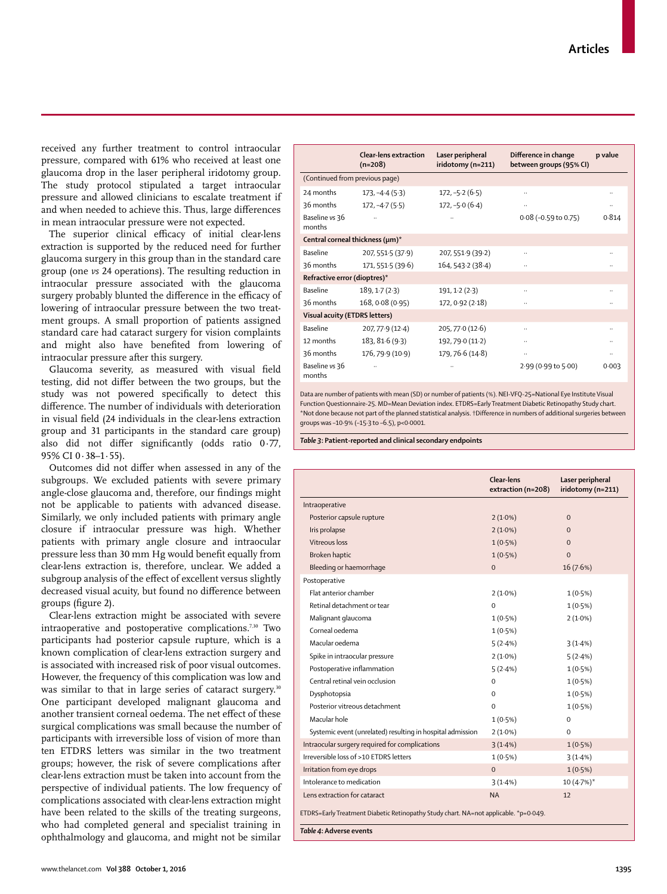www.thelancet.com **Vol 388 October 1, 2016** 1395

received any further treatment to control intraocular pressure, compared with 61% who received at least one glaucoma drop in the laser peripheral iridotomy group. The study protocol stipulated a target intraocular pressure and allowed clinicians to escalate treatment if and when needed to achieve this. Thus, large differences in mean intraocular pressure were not expected.

The superior clinical efficacy of initial clear-lens extraction is supported by the reduced need for further glaucoma surgery in this group than in the standard care group (one *vs* 24 operations). The resulting reduction in intraocular pressure associated with the glaucoma surgery probably blunted the difference in the efficacy of lowering of intraocular pressure between the two treatment groups. A small proportion of patients assigned standard care had cataract surgery for vision complaints and might also have benefited from lowering of intraocular pressure after this surgery.

Glaucoma severity, as measured with visual field testing, did not differ between the two groups, but the study was not powered specifically to detect this difference. The number of individuals with deterioration in visual field (24 individuals in the clear-lens extraction group and 31 participants in the standard care group) also did not differ significantly (odds ratio  $0.77$ , 95% CI 0·38–1·55).

Outcomes did not differ when assessed in any of the subgroups. We excluded patients with severe primary angle-close glaucoma and, therefore, our findings might not be applicable to patients with advanced disease. Similarly, we only included patients with primary angle closure if intraocular pressure was high. Whether patients with primary angle closure and intraocular pressure less than 30 mm Hg would benefit equally from clear-lens extraction is, therefore, unclear. We added a subgroup analysis of the effect of excellent versus slightly decreased visual acuity, but found no difference between groups (figure 2).

Clear-lens extraction might be associated with severe intraoperative and postoperative complications.<sup>7,30</sup> Two participants had posterior capsule rupture, which is a known complication of clear-lens extraction surgery and is associated with increased risk of poor visual outcomes. However, the frequency of this complication was low and was similar to that in large series of cataract surgery.<sup>30</sup> One participant developed malignant glaucoma and another transient corneal oedema. The net effect of these surgical complications was small because the number of participants with irreversible loss of vision of more than ten ETDRS letters was similar in the two treatment groups; however, the risk of severe complications after clear-lens extraction must be taken into account from the perspective of individual patients. The low frequency of complications associated with clear-lens extraction might have been related to the skills of the treating surgeons, who had completed general and specialist training in ophthalmology and glaucoma, and might not be similar

|                                 | <b>Clear-lens extraction</b><br>$(n=208)$ | Laser peripheral<br>iridotomy (n=211) | Difference in change<br>between groups (95% CI) | p value      |
|---------------------------------|-------------------------------------------|---------------------------------------|-------------------------------------------------|--------------|
| (Continued from previous page)  |                                           |                                       |                                                 |              |
| 24 months                       | $173, -4.4(5.3)$                          | $172, -5.2(6.5)$                      | $\ldots$                                        | $\ldots$     |
| 36 months                       | $172, -4.7(5.5)$                          | $172, -5.0$ (6.4)                     | $\cdots$                                        | $\cdot\cdot$ |
| Baseline vs 36<br>months        | $\ddotsc$                                 | $\ddotsc$                             | $0.08$ (-0.59 to 0.75)                          | 0.814        |
| Central corneal thickness (µm)* |                                           |                                       |                                                 |              |
| Baseline                        | 207, 551.5 (37.9)                         | 207, 551.9 (39.2)                     | $\ddotsc$                                       | $\ldots$     |
| 36 months                       | 171, 551.5 (39.6)                         | 164, 543.2 (38.4)                     | $\ldots$                                        | $\ldots$     |
| Refractive error (dioptres)*    |                                           |                                       |                                                 |              |
| <b>Baseline</b>                 | 189, 1.7(2.3)                             | 191, 1.2(2.3)                         | $\ldots$                                        | $\ldots$     |
| 36 months                       | 168, 0.08 (0.95)                          | 172, 0.92 (2.18)                      | $\ldots$                                        | $\ldots$     |
| Visual acuity (ETDRS letters)   |                                           |                                       |                                                 |              |
| Baseline                        | 207, 77.9 (12.4)                          | 205, 770(12.6)                        | $\ldots$                                        | $\cdot$ .    |
| 12 months                       | 183, 81.6 (9.3)                           | 192, 79.0 (11.2)                      | $\ldots$                                        | $\ldots$     |
| 36 months                       | 176, 79.9 (10.9)                          | 179, 76.6 (14.8)                      | $\cdots$                                        | $\cdot\cdot$ |
| Baseline vs 36<br>months        |                                           |                                       | 2.99 (0.99 to 5.00)                             | 0.003        |

Data are number of patients with mean (SD) or number of patients (%). NEI-VFQ-25=National Eye Institute Visual Function Questionnaire-25. MD=Mean Deviation index. ETDRS=Early Treatment Diabetic Retinopathy Study chart. \*Not done because not part of the planned statistical analysis. †Difference in numbers of additional surgeries between groups was –10·9% (–15·3 to –6.5), p<0·0001.

*Table 3***: Patient-reported and clinical secondary endpoints**

|                                                                                                                 | Clear-lens<br>extraction (n=208) | Laser peripheral<br>iridotomy (n=211) |  |
|-----------------------------------------------------------------------------------------------------------------|----------------------------------|---------------------------------------|--|
| Intraoperative                                                                                                  |                                  |                                       |  |
| Posterior capsule rupture                                                                                       | $2(1.0\%)$                       | $\Omega$                              |  |
| Iris prolapse                                                                                                   | $2(1.0\%)$                       | $\Omega$                              |  |
| Vitreous loss                                                                                                   | $1(0.5\%)$                       | $\Omega$                              |  |
| Broken haptic                                                                                                   | $1(0.5\%)$                       | $\Omega$                              |  |
| Bleeding or haemorrhage                                                                                         | $\Omega$                         | 16 (7.6%)                             |  |
| Postoperative                                                                                                   |                                  |                                       |  |
| Flat anterior chamber                                                                                           | $2(1.0\%)$                       | 1(0.5%)                               |  |
| Retinal detachment or tear                                                                                      | $\Omega$                         | 1(0.5%)                               |  |
| Malignant glaucoma                                                                                              | $1(0.5\%)$                       | $2(1.0\%)$                            |  |
| Corneal oedema                                                                                                  | $1(0.5\%)$                       |                                       |  |
| Macular oedema                                                                                                  | 5(2.4%)                          | 3(1.4%)                               |  |
| Spike in intraocular pressure                                                                                   | $2(1.0\%)$                       | 5(2.4%)                               |  |
| Postoperative inflammation                                                                                      | 5(2.4%)                          | 1(0.5%)                               |  |
| Central retinal vein occlusion                                                                                  | $\Omega$                         | $1(0.5\%)$                            |  |
| Dysphotopsia                                                                                                    | $\Omega$                         | $1(0.5\%)$                            |  |
| Posterior vitreous detachment                                                                                   | $\Omega$                         | 1(0.5%)                               |  |
| Macular hole                                                                                                    | 1(0.5%)                          | $\Omega$                              |  |
| Systemic event (unrelated) resulting in hospital admission                                                      | $2(1.0\%)$                       | $\Omega$                              |  |
| Intraocular surgery required for complications                                                                  | 3(1.4%)                          | $1(0.5\%)$                            |  |
| Irreversible loss of >10 ETDRS letters                                                                          | $1(0.5\%)$                       | 3(1.4%)                               |  |
| Irritation from eye drops                                                                                       | $\Omega$                         | 1(0.5%)                               |  |
| Intolerance to medication                                                                                       | 3(1.4%)                          | $10(4.7%)$ *                          |  |
| Lens extraction for cataract                                                                                    | <b>NA</b>                        | 12                                    |  |
| ETDRS=Early Treatment Diabetic Retinopathy Study chart. NA=not applicable. *p=0.049.<br>Table 4: Adverse events |                                  |                                       |  |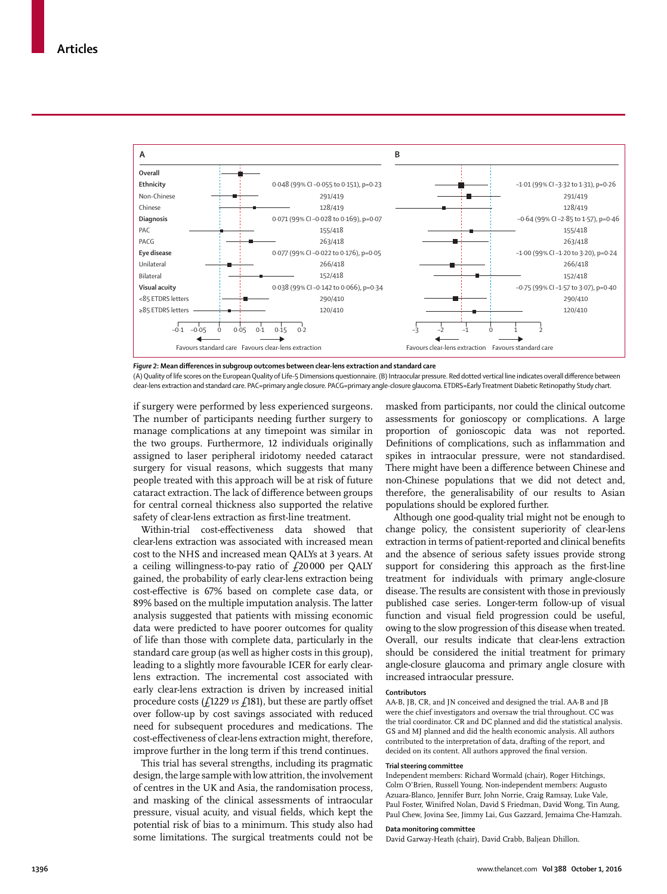

Figure 2: Mean differences in subgroup outcomes between clear-lens extraction and standard care

(A) Quality of life scores on the European Quality of Life-5 Dimensions questionnaire. (B) Intraocular pressure. Red dotted vertical line indicates overall difference between clear-lens extraction and standard care. PAC=primary angle closure. PACG=primary angle-closure glaucoma. ETDRS=Early Treatment Diabetic Retinopathy Study chart.

if surgery were performed by less experienced surgeons. The number of participants needing further surgery to manage complications at any timepoint was similar in the two groups. Furthermore, 12 individuals originally assigned to laser peripheral iridotomy needed cataract surgery for visual reasons, which suggests that many people treated with this approach will be at risk of future cataract extraction. The lack of difference between groups for central corneal thickness also supported the relative safety of clear-lens extraction as first-line treatment.

Within-trial cost-effectiveness data showed that clear-lens extraction was associated with increased mean cost to the NHS and increased mean QALYs at 3 years. At a ceiling willingness-to-pay ratio of  $f$ 20000 per QALY gained, the probability of early clear-lens extraction being cost-eff ective is 67% based on complete case data, or 89% based on the multiple imputation analysis. The latter analysis suggested that patients with missing economic data were predicted to have poorer outcomes for quality of life than those with complete data, particularly in the standard care group (as well as higher costs in this group), leading to a slightly more favourable ICER for early clearlens extraction. The incremental cost associated with early clear-lens extraction is driven by increased initial procedure costs (£1229 *vs* £181), but these are partly offset over follow-up by cost savings associated with reduced need for subsequent procedures and medications. The cost-effectiveness of clear-lens extraction might, therefore, improve further in the long term if this trend continues.

This trial has several strengths, including its pragmatic design, the large sample with low attrition, the involvement of centres in the UK and Asia, the randomisation process, and masking of the clinical assessments of intraocular pressure, visual acuity, and visual fields, which kept the potential risk of bias to a minimum. This study also had some limitations. The surgical treatments could not be masked from participants, nor could the clinical outcome assessments for gonioscopy or complications. A large proportion of gonioscopic data was not reported. Definitions of complications, such as inflammation and spikes in intraocular pressure, were not standardised. There might have been a difference between Chinese and non-Chinese populations that we did not detect and, therefore, the generalisability of our results to Asian populations should be explored further.

Although one good-quality trial might not be enough to change policy, the consistent superiority of clear-lens extraction in terms of patient-reported and clinical benefits and the absence of serious safety issues provide strong support for considering this approach as the first-line treatment for individuals with primary angle-closure disease. The results are consistent with those in previously published case series. Longer-term follow-up of visual function and visual field progression could be useful, owing to the slow progression of this disease when treated. Overall, our results indicate that clear-lens extraction should be considered the initial treatment for primary angle-closure glaucoma and primary angle closure with increased intraocular pressure.

#### **Contributors**

AA-B, JB, CR, and JN conceived and designed the trial. AA-B and JB were the chief investigators and oversaw the trial throughout. CC was the trial coordinator. CR and DC planned and did the statistical analysis. GS and MJ planned and did the health economic analysis. All authors contributed to the interpretation of data, drafting of the report, and decided on its content. All authors approved the final version.

## **Trial steering committee**

Independent members: Richard Wormald (chair), Roger Hitchings, Colm O'Brien, Russell Young. Non-independent members: Augusto Azuara-Blanco, Jennifer Burr, John Norrie, Craig Ramsay, Luke Vale, Paul Foster, Winifred Nolan, David S Friedman, David Wong, Tin Aung, Paul Chew, Jovina See, Jimmy Lai, Gus Gazzard, Jemaima Che-Hamzah.

#### **Data monitoring committee**

David Garway-Heath (chair), David Crabb, Baljean Dhillon.